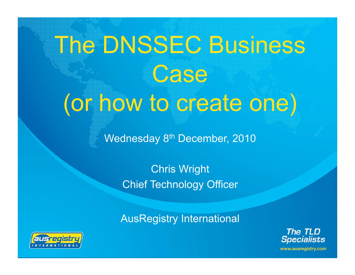# The DNSSEC Business Case (or how to create one)

Wednesday 8<sup>th</sup> December, 2010

Chris Wright Chief Technology Officer

AusRegistry International



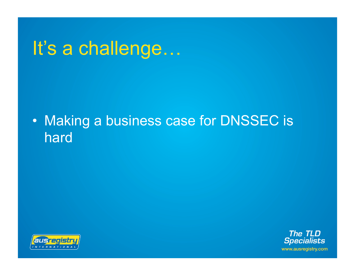### It's a challenge…

#### • Making a business case for DNSSEC is hard



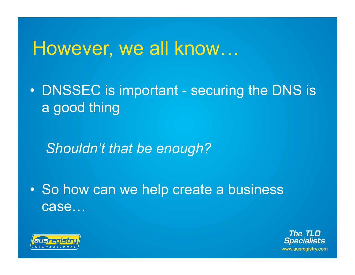#### However, we all know…

• DNSSEC is important - securing the DNS is a good thing

*Shouldn't that be enough?* 

• So how can we help create a business case…



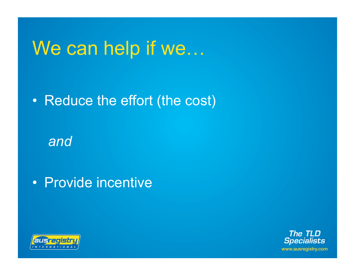#### We can help if we…

• Reduce the effort (the cost)

*and* 

• Provide incentive



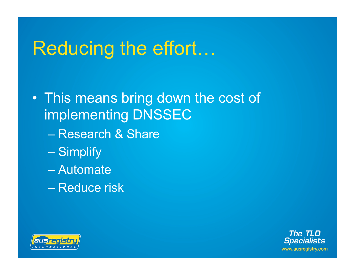### Reducing the effort…

• This means bring down the cost of implementing DNSSEC

- Research & Share
- Simplify
- Automate
- Reduce risk



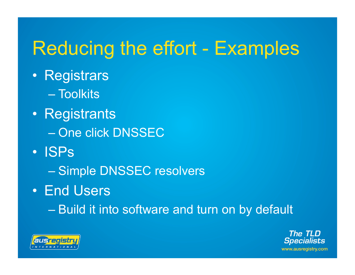## Reducing the effort - Examples

- Registrars
	- Toolkits
- Registrants
	- One click DNSSEC
- ISPs
	- Simple DNSSEC resolvers
- End Users
	- Build it into software and turn on by default



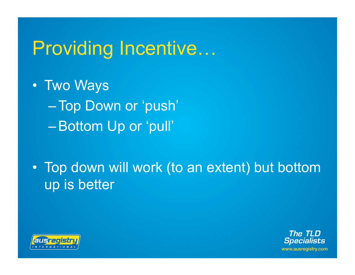## Providing Incentive…

- Two Ways –Top Down or 'push' –Bottom Up or 'pull'
- Top down will work (to an extent) but bottom up is better



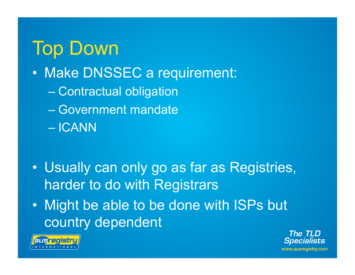## Top Down

- Make DNSSEC a requirement:
	- Contractual obligation
	- Government mandate
	- ICANN
- Usually can only go as far as Registries, harder to do with Registrars
- Might be able to be done with ISPs but country dependent



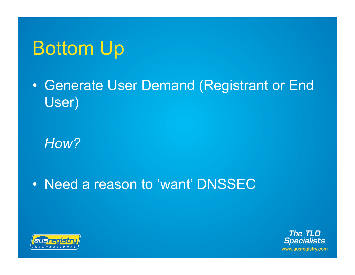## Bottom Up

• Generate User Demand (Registrant or End User)

*How?* 

• Need a reason to 'want' DNSSEC



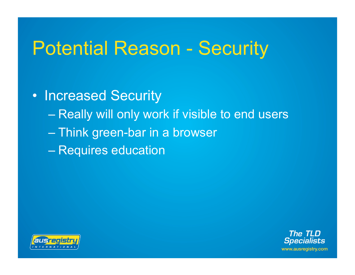## Potential Reason - Security

• Increased Security – Really will only work if visible to end users – Think green-bar in a browser – Requires education



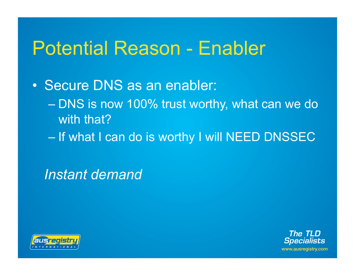## Potential Reason - Enabler

• Secure DNS as an enabler: – DNS is now 100% trust worthy, what can we do with that?

– If what I can do is worthy I will NEED DNSSEC

*Instant demand* 



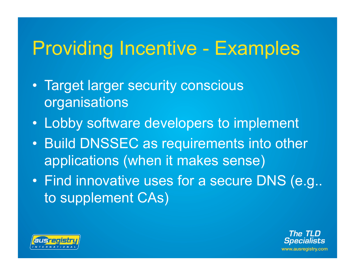## Providing Incentive - Examples

- Target larger security conscious organisations
- Lobby software developers to implement
- Build DNSSEC as requirements into other applications (when it makes sense)
- Find innovative uses for a secure DNS (e.g.. to supplement CAs)



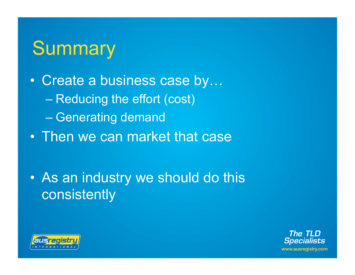### **Summary**

- Create a business case by… – Reducing the effort (cost) – Generating demand
- Then we can market that case

• As an industry we should do this consistently